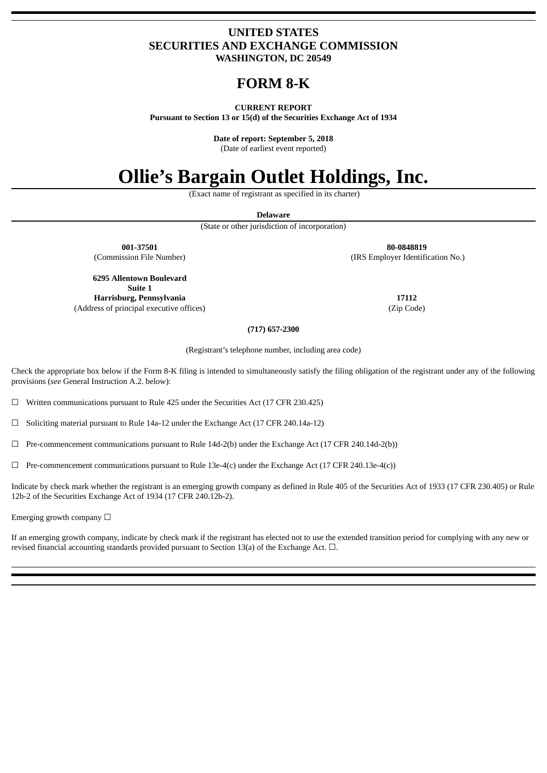## **UNITED STATES SECURITIES AND EXCHANGE COMMISSION WASHINGTON, DC 20549**

## **FORM 8‑K**

## **CURRENT REPORT**

**Pursuant to Section 13 or 15(d) of the Securities Exchange Act of 1934**

**Date of report: September 5, 2018**

(Date of earliest event reported)

# **Ollie's Bargain Outlet Holdings, Inc.**

(Exact name of registrant as specified in its charter)

**Delaware**

(State or other jurisdiction of incorporation)

**001-37501 80-0848819** (Commission File Number) (IRS Employer Identification No.)

**6295 Allentown Boulevard Suite 1 Harrisburg, Pennsylvania 17112** (Address of principal executive offices) (Zip Code)

## **(717) 657-2300**

(Registrant's telephone number, including area code)

Check the appropriate box below if the Form 8-K filing is intended to simultaneously satisfy the filing obligation of the registrant under any of the following provisions (*see* General Instruction A.2. below):

 $\Box$  Written communications pursuant to Rule 425 under the Securities Act (17 CFR 230.425)

 $\Box$  Soliciting material pursuant to Rule 14a-12 under the Exchange Act (17 CFR 240.14a-12)

 $\Box$  Pre-commencement communications pursuant to Rule 14d-2(b) under the Exchange Act (17 CFR 240.14d-2(b))

 $\Box$  Pre-commencement communications pursuant to Rule 13e-4(c) under the Exchange Act (17 CFR 240.13e-4(c))

Indicate by check mark whether the registrant is an emerging growth company as defined in Rule 405 of the Securities Act of 1933 (17 CFR 230.405) or Rule 12b-2 of the Securities Exchange Act of 1934 (17 CFR 240.12b-2).

Emerging growth company  $\Box$ 

If an emerging growth company, indicate by check mark if the registrant has elected not to use the extended transition period for complying with any new or revised financial accounting standards provided pursuant to Section 13(a) of the Exchange Act. □.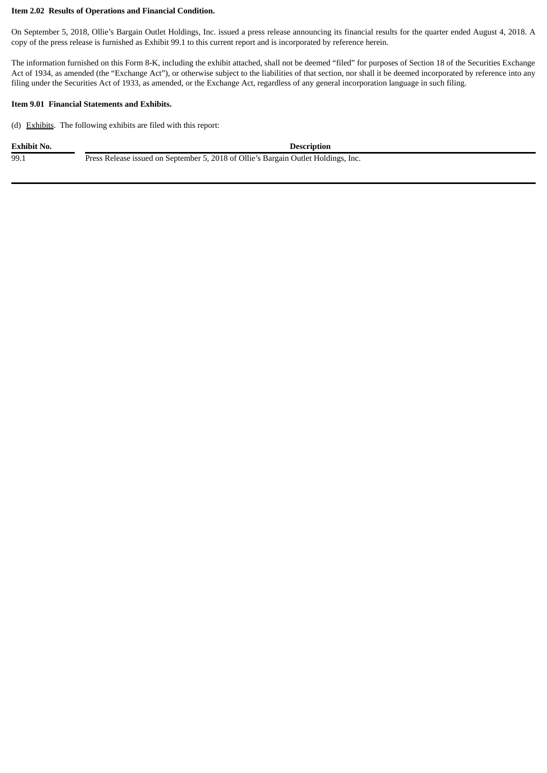## **Item 2.02 Results of Operations and Financial Condition.**

On September 5, 2018, Ollie's Bargain Outlet Holdings, Inc. issued a press release announcing its financial results for the quarter ended August 4, 2018. A copy of the press release is furnished as Exhibit 99.1 to this current report and is incorporated by reference herein.

The information furnished on this Form 8-K, including the exhibit attached, shall not be deemed "filed" for purposes of Section 18 of the Securities Exchange Act of 1934, as amended (the "Exchange Act"), or otherwise subject to the liabilities of that section, nor shall it be deemed incorporated by reference into any filing under the Securities Act of 1933, as amended, or the Exchange Act, regardless of any general incorporation language in such filing.

#### **Item 9.01 Financial Statements and Exhibits.**

(d) Exhibits. The following exhibits are filed with this report:

| Exhibit No. | <b>Description</b>                                                                 |
|-------------|------------------------------------------------------------------------------------|
| 99.1        | Press Release issued on September 5, 2018 of Ollie's Bargain Outlet Holdings, Inc. |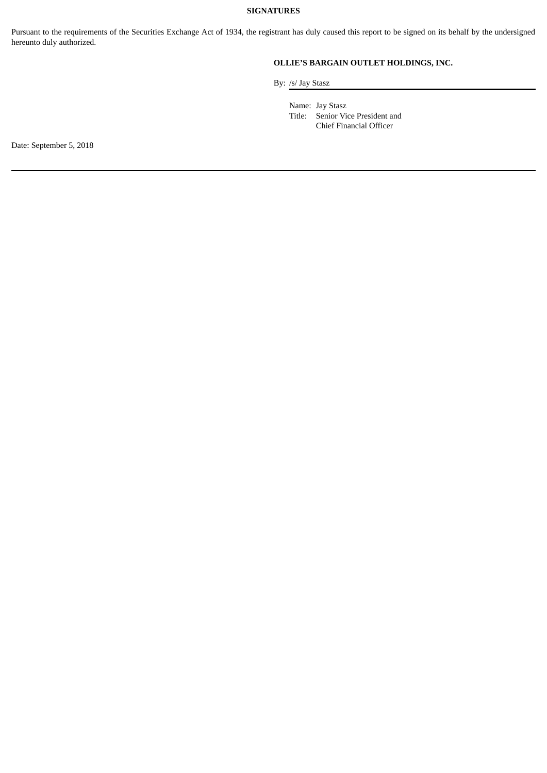## **SIGNATURES**

Pursuant to the requirements of the Securities Exchange Act of 1934, the registrant has duly caused this report to be signed on its behalf by the undersigned hereunto duly authorized.

## **OLLIE'S BARGAIN OUTLET HOLDINGS, INC.**

By: /s/ Jay Stasz

Name: Jay Stasz Title: Senior Vice President and Chief Financial Officer

Date: September 5, 2018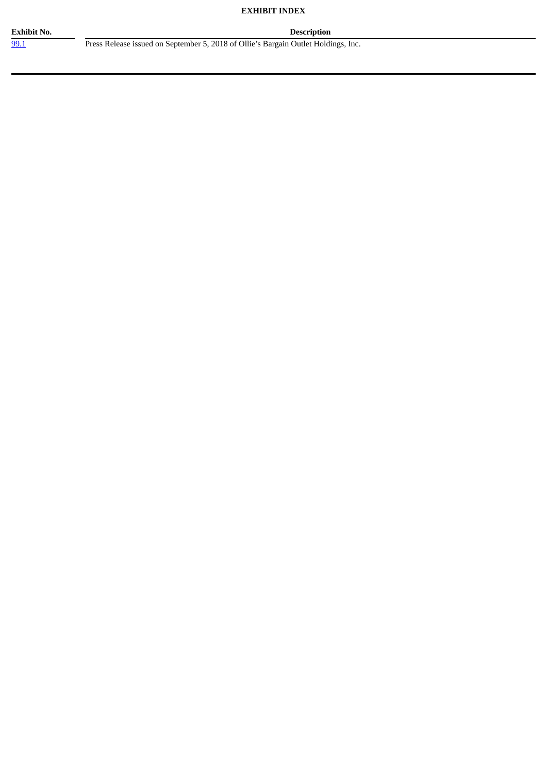## **EXHIBIT INDEX**

[99.1](#page-4-0) Press Release issued on September 5, 2018 of Ollie's Bargain Outlet Holdings, Inc.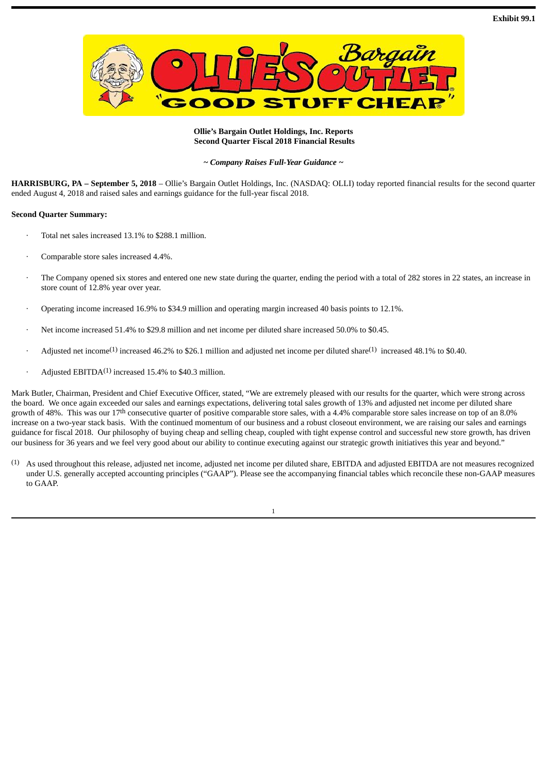<span id="page-4-0"></span>

## **Ollie's Bargain Outlet Holdings, Inc. Reports Second Quarter Fiscal 2018 Financial Results**

*~ Company Raises Full-Year Guidance ~*

**HARRISBURG, PA – September 5, 2018** – Ollie's Bargain Outlet Holdings, Inc. (NASDAQ: OLLI) today reported financial results for the second quarter ended August 4, 2018 and raised sales and earnings guidance for the full-year fiscal 2018.

## **Second Quarter Summary:**

- · Total net sales increased 13.1% to \$288.1 million.
- Comparable store sales increased 4.4%.
- The Company opened six stores and entered one new state during the quarter, ending the period with a total of 282 stores in 22 states, an increase in store count of 12.8% year over year.
- · Operating income increased 16.9% to \$34.9 million and operating margin increased 40 basis points to 12.1%.
- Net income increased 51.4% to \$29.8 million and net income per diluted share increased 50.0% to \$0.45.
- Adjusted net income<sup>(1)</sup> increased 46.2% to \$26.1 million and adjusted net income per diluted share<sup>(1)</sup> increased 48.1% to \$0.40.
- $\cdot$  Adjusted EBITDA<sup>(1)</sup> increased 15.4% to \$40.3 million.

Mark Butler, Chairman, President and Chief Executive Officer, stated, "We are extremely pleased with our results for the quarter, which were strong across the board. We once again exceeded our sales and earnings expectations, delivering total sales growth of 13% and adjusted net income per diluted share growth of 48%. This was our 17<sup>th</sup> consecutive quarter of positive comparable store sales, with a 4.4% comparable store sales increase on top of an 8.0% increase on a two-year stack basis. With the continued momentum of our business and a robust closeout environment, we are raising our sales and earnings guidance for fiscal 2018. Our philosophy of buying cheap and selling cheap, coupled with tight expense control and successful new store growth, has driven our business for 36 years and we feel very good about our ability to continue executing against our strategic growth initiatives this year and beyond."

(1) As used throughout this release, adjusted net income, adjusted net income per diluted share, EBITDA and adjusted EBITDA are not measures recognized under U.S. generally accepted accounting principles ("GAAP"). Please see the accompanying financial tables which reconcile these non-GAAP measures to GAAP.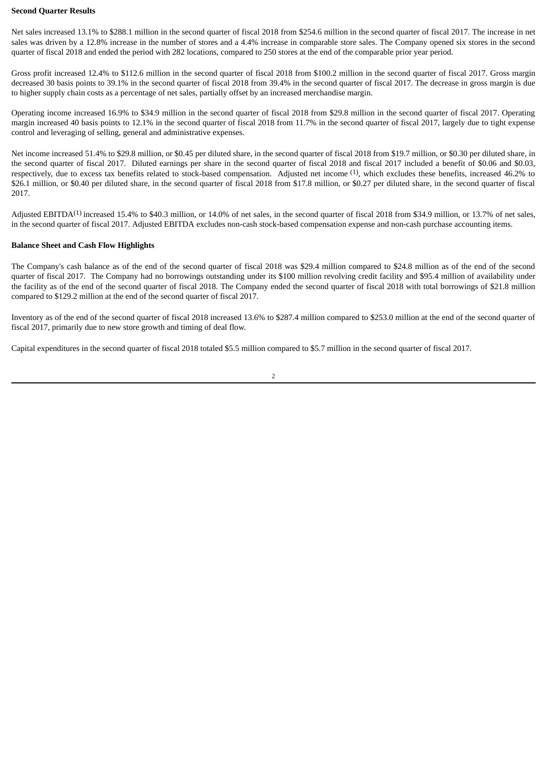#### **Second Quarter Results**

Net sales increased 13.1% to \$288.1 million in the second quarter of fiscal 2018 from \$254.6 million in the second quarter of fiscal 2017. The increase in net sales was driven by a 12.8% increase in the number of stores and a 4.4% increase in comparable store sales. The Company opened six stores in the second quarter of fiscal 2018 and ended the period with 282 locations, compared to 250 stores at the end of the comparable prior year period.

Gross profit increased 12.4% to \$112.6 million in the second quarter of fiscal 2018 from \$100.2 million in the second quarter of fiscal 2017. Gross margin decreased 30 basis points to 39.1% in the second quarter of fiscal 2018 from 39.4% in the second quarter of fiscal 2017. The decrease in gross margin is due to higher supply chain costs as a percentage of net sales, partially offset by an increased merchandise margin.

Operating income increased 16.9% to \$34.9 million in the second quarter of fiscal 2018 from \$29.8 million in the second quarter of fiscal 2017. Operating margin increased 40 basis points to 12.1% in the second quarter of fiscal 2018 from 11.7% in the second quarter of fiscal 2017, largely due to tight expense control and leveraging of selling, general and administrative expenses.

Net income increased 51.4% to \$29.8 million, or \$0.45 per diluted share, in the second quarter of fiscal 2018 from \$19.7 million, or \$0.30 per diluted share, in the second quarter of fiscal 2017. Diluted earnings per share in the second quarter of fiscal 2018 and fiscal 2017 included a benefit of \$0.06 and \$0.03, respectively, due to excess tax benefits related to stock-based compensation. Adjusted net income <sup>(1)</sup>, which excludes these benefits, increased 46.2% to \$26.1 million, or \$0.40 per diluted share, in the second quarter of fiscal 2018 from \$17.8 million, or \$0.27 per diluted share, in the second quarter of fiscal 2017.

Adjusted EBITDA<sup>(1)</sup> increased 15.4% to \$40.3 million, or 14.0% of net sales, in the second quarter of fiscal 2018 from \$34.9 million, or 13.7% of net sales, in the second quarter of fiscal 2017. Adjusted EBITDA excludes non-cash stock-based compensation expense and non-cash purchase accounting items.

## **Balance Sheet and Cash Flow Highlights**

The Company's cash balance as of the end of the second quarter of fiscal 2018 was \$29.4 million compared to \$24.8 million as of the end of the second quarter of fiscal 2017. The Company had no borrowings outstanding under its \$100 million revolving credit facility and \$95.4 million of availability under the facility as of the end of the second quarter of fiscal 2018. The Company ended the second quarter of fiscal 2018 with total borrowings of \$21.8 million compared to \$129.2 million at the end of the second quarter of fiscal 2017.

Inventory as of the end of the second quarter of fiscal 2018 increased 13.6% to \$287.4 million compared to \$253.0 million at the end of the second quarter of fiscal 2017, primarily due to new store growth and timing of deal flow.

Capital expenditures in the second quarter of fiscal 2018 totaled \$5.5 million compared to \$5.7 million in the second quarter of fiscal 2017.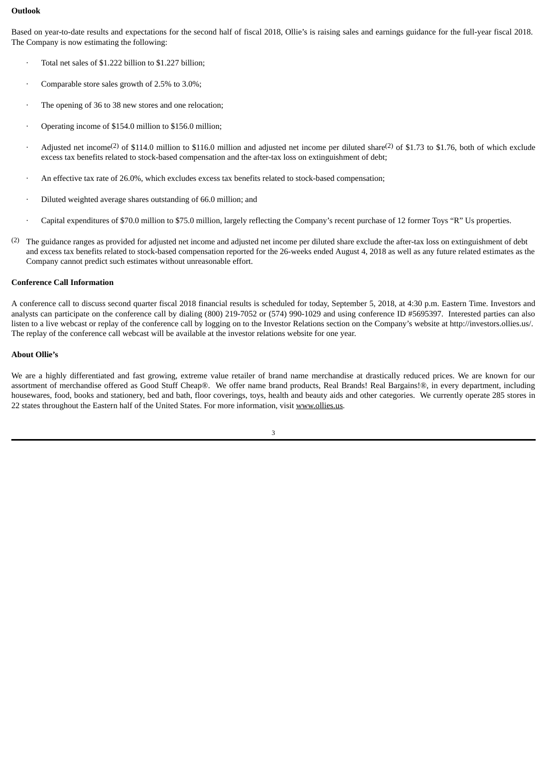## **Outlook**

Based on year-to-date results and expectations for the second half of fiscal 2018, Ollie's is raising sales and earnings guidance for the full-year fiscal 2018. The Company is now estimating the following:

- Total net sales of \$1.222 billion to \$1.227 billion;
- Comparable store sales growth of 2.5% to 3.0%;
- The opening of 36 to 38 new stores and one relocation;
- Operating income of \$154.0 million to \$156.0 million;
- Adjusted net income<sup>(2)</sup> of \$114.0 million to \$116.0 million and adjusted net income per diluted share<sup>(2)</sup> of \$1.73 to \$1.76, both of which exclude excess tax benefits related to stock-based compensation and the after-tax loss on extinguishment of debt;
- · An effective tax rate of 26.0%, which excludes excess tax benefits related to stock-based compensation;
- · Diluted weighted average shares outstanding of 66.0 million; and
- · Capital expenditures of \$70.0 million to \$75.0 million, largely reflecting the Company's recent purchase of 12 former Toys "R" Us properties.
- (2) The guidance ranges as provided for adjusted net income and adjusted net income per diluted share exclude the after-tax loss on extinguishment of debt and excess tax benefits related to stock-based compensation reported for the 26-weeks ended August 4, 2018 as well as any future related estimates as the Company cannot predict such estimates without unreasonable effort.

## **Conference Call Information**

A conference call to discuss second quarter fiscal 2018 financial results is scheduled for today, September 5, 2018, at 4:30 p.m. Eastern Time. Investors and analysts can participate on the conference call by dialing (800) 219-7052 or (574) 990-1029 and using conference ID #5695397. Interested parties can also listen to a live webcast or replay of the conference call by logging on to the Investor Relations section on the Company's website at http://investors.ollies.us/. The replay of the conference call webcast will be available at the investor relations website for one year.

## **About Ollie's**

We are a highly differentiated and fast growing, extreme value retailer of brand name merchandise at drastically reduced prices. We are known for our assortment of merchandise offered as Good Stuff Cheap®. We offer name brand products, Real Brands! Real Bargains!®, in every department, including housewares, food, books and stationery, bed and bath, floor coverings, toys, health and beauty aids and other categories. We currently operate 285 stores in 22 states throughout the Eastern half of the United States. For more information, visit www.ollies.us.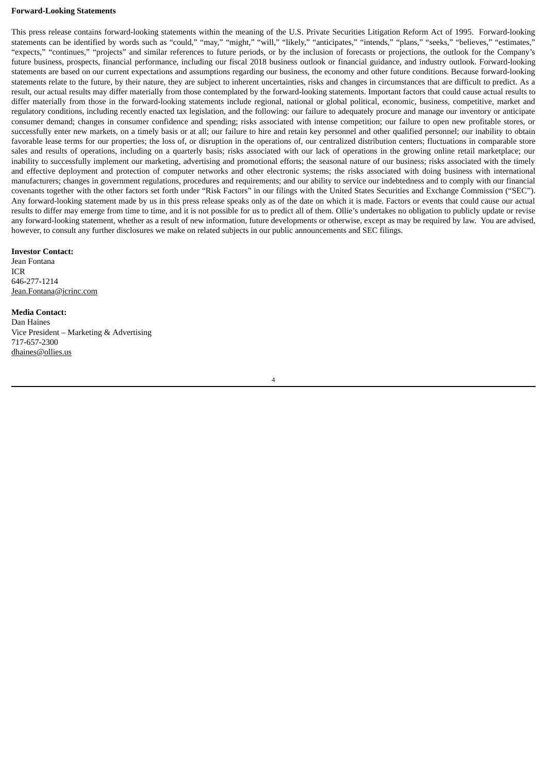#### **Forward-Looking Statements**

This press release contains forward-looking statements within the meaning of the U.S. Private Securities Litigation Reform Act of 1995. Forward-looking statements can be identified by words such as "could," "may," "might," "will," "likely," "anticipates," "intends," "plans," "seeks," "believes," "estimates," "expects," "continues," "projects" and similar references to future periods, or by the inclusion of forecasts or projections, the outlook for the Company's future business, prospects, financial performance, including our fiscal 2018 business outlook or financial guidance, and industry outlook. Forward-looking statements are based on our current expectations and assumptions regarding our business, the economy and other future conditions. Because forward-looking statements relate to the future, by their nature, they are subject to inherent uncertainties, risks and changes in circumstances that are difficult to predict. As a result, our actual results may differ materially from those contemplated by the forward-looking statements. Important factors that could cause actual results to differ materially from those in the forward-looking statements include regional, national or global political, economic, business, competitive, market and regulatory conditions, including recently enacted tax legislation, and the following: our failure to adequately procure and manage our inventory or anticipate consumer demand; changes in consumer confidence and spending; risks associated with intense competition; our failure to open new profitable stores, or successfully enter new markets, on a timely basis or at all; our failure to hire and retain key personnel and other qualified personnel; our inability to obtain favorable lease terms for our properties; the loss of, or disruption in the operations of, our centralized distribution centers; fluctuations in comparable store sales and results of operations, including on a quarterly basis; risks associated with our lack of operations in the growing online retail marketplace; our inability to successfully implement our marketing, advertising and promotional efforts; the seasonal nature of our business; risks associated with the timely and effective deployment and protection of computer networks and other electronic systems; the risks associated with doing business with international manufacturers; changes in government regulations, procedures and requirements; and our ability to service our indebtedness and to comply with our financial covenants together with the other factors set forth under "Risk Factors" in our filings with the United States Securities and Exchange Commission ("SEC"). Any forward-looking statement made by us in this press release speaks only as of the date on which it is made. Factors or events that could cause our actual results to differ may emerge from time to time, and it is not possible for us to predict all of them. Ollie's undertakes no obligation to publicly update or revise any forward-looking statement, whether as a result of new information, future developments or otherwise, except as may be required by law. You are advised, however, to consult any further disclosures we make on related subjects in our public announcements and SEC filings.

#### **Investor Contact:**

Jean Fontana ICR 646-277-1214 Jean.Fontana@icrinc.com

#### **Media Contact:**

Dan Haines Vice President – Marketing & Advertising 717-657-2300 dhaines@ollies.us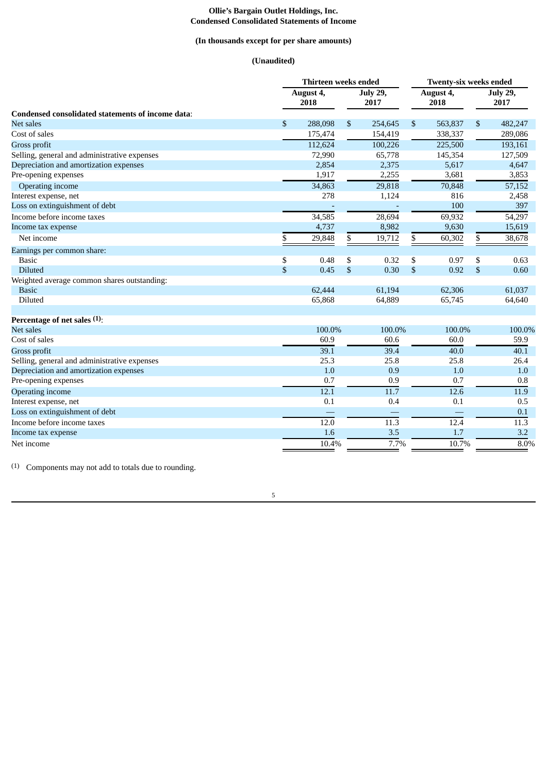#### **Ollie's Bargain Outlet Holdings, Inc. Condensed Consolidated Statements of Income**

## **(In thousands except for per share amounts)**

## **(Unaudited)**

|                                                   | Thirteen weeks ended |                   |    |                         |    | <b>Twenty-six weeks ended</b> |    |                         |  |  |
|---------------------------------------------------|----------------------|-------------------|----|-------------------------|----|-------------------------------|----|-------------------------|--|--|
|                                                   |                      | August 4,<br>2018 |    | <b>July 29,</b><br>2017 |    | August 4,<br>2018             |    | <b>July 29,</b><br>2017 |  |  |
| Condensed consolidated statements of income data: |                      |                   |    |                         |    |                               |    |                         |  |  |
| <b>Net sales</b>                                  | \$                   | 288,098           | \$ | 254,645                 | \$ | 563,837                       | \$ | 482,247                 |  |  |
| Cost of sales                                     |                      | 175,474           |    | 154,419                 |    | 338,337                       |    | 289,086                 |  |  |
| Gross profit                                      |                      | 112,624           |    | 100,226                 |    | 225,500                       |    | 193,161                 |  |  |
| Selling, general and administrative expenses      |                      | 72,990            |    | 65,778                  |    | 145,354                       |    | 127,509                 |  |  |
| Depreciation and amortization expenses            |                      | 2,854             |    | 2,375                   |    | 5,617                         |    | 4,647                   |  |  |
| Pre-opening expenses                              |                      | 1,917             |    | 2,255                   |    | 3,681                         |    | 3,853                   |  |  |
| Operating income                                  |                      | 34,863            |    | 29,818                  |    | 70,848                        |    | 57,152                  |  |  |
| Interest expense, net                             |                      | 278               |    | 1,124                   |    | 816                           |    | 2,458                   |  |  |
| Loss on extinguishment of debt                    |                      |                   |    |                         |    | 100                           |    | 397                     |  |  |
| Income before income taxes                        |                      | 34,585            |    | 28,694                  |    | 69,932                        |    | 54,297                  |  |  |
| Income tax expense                                |                      | 4,737             |    | 8,982                   |    | 9,630                         |    | 15,619                  |  |  |
| Net income                                        | \$                   | 29,848            | \$ | 19,712                  | \$ | 60,302                        | \$ | 38,678                  |  |  |
| Earnings per common share:                        |                      |                   |    |                         |    |                               |    |                         |  |  |
| <b>Basic</b>                                      | \$                   | 0.48              | \$ | 0.32                    | \$ | 0.97                          | \$ | 0.63                    |  |  |
| <b>Diluted</b>                                    | \$                   | 0.45              | \$ | 0.30                    | \$ | 0.92                          | \$ | 0.60                    |  |  |
| Weighted average common shares outstanding:       |                      |                   |    |                         |    |                               |    |                         |  |  |
| <b>Basic</b>                                      |                      | 62,444            |    | 61,194                  |    | 62,306                        |    | 61,037                  |  |  |
| Diluted                                           |                      | 65,868            |    | 64,889                  |    | 65,745                        |    | 64,640                  |  |  |
| Percentage of net sales (1):                      |                      |                   |    |                         |    |                               |    |                         |  |  |
| <b>Net sales</b>                                  |                      | 100.0%            |    | 100.0%                  |    | 100.0%                        |    | 100.0%                  |  |  |
| Cost of sales                                     |                      | 60.9              |    | 60.6                    |    | 60.0                          |    | 59.9                    |  |  |
| Gross profit                                      |                      | 39.1              |    | 39.4                    |    | 40.0                          |    | 40.1                    |  |  |
| Selling, general and administrative expenses      |                      | 25.3              |    | 25.8                    |    | 25.8                          |    | 26.4                    |  |  |
| Depreciation and amortization expenses            |                      | 1.0               |    | 0.9                     |    | 1.0                           |    | 1.0                     |  |  |
| Pre-opening expenses                              |                      | 0.7               |    | 0.9                     |    | 0.7                           |    | 0.8                     |  |  |
| <b>Operating income</b>                           |                      | 12.1              |    | 11.7                    |    | 12.6                          |    | 11.9                    |  |  |
| Interest expense, net                             |                      | 0.1               |    | 0.4                     |    | 0.1                           |    | 0.5                     |  |  |
| Loss on extinguishment of debt                    |                      |                   |    |                         |    |                               |    | 0.1                     |  |  |
| Income before income taxes                        |                      | 12.0              |    | 11.3                    |    | 12.4                          |    | 11.3                    |  |  |
| Income tax expense                                |                      | 1.6               |    | 3.5                     |    | 1.7                           |    | 3.2                     |  |  |
| Net income                                        |                      | 10.4%             |    | 7.7%                    |    | 10.7%                         |    | 8.0%                    |  |  |

(1) Components may not add to totals due to rounding.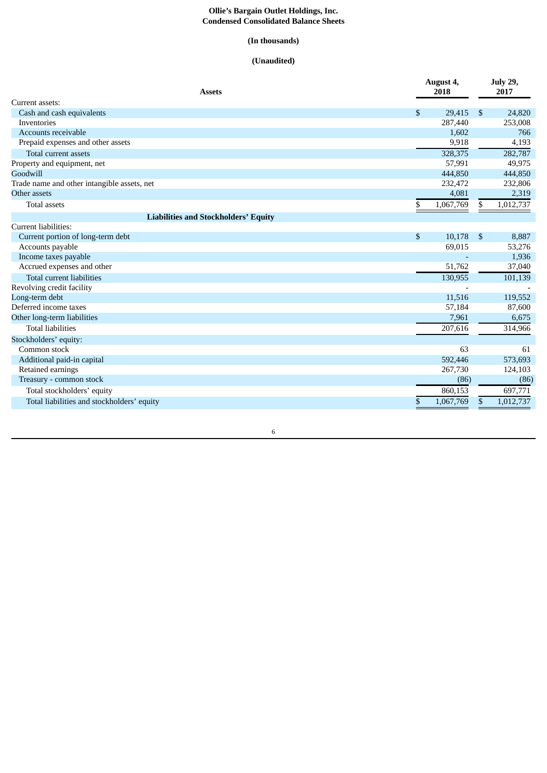#### **Ollie's Bargain Outlet Holdings, Inc. Condensed Consolidated Balance Sheets**

## **(In thousands)**

## **(Unaudited)**

| <b>Assets</b>                               | August 4,<br>2018 |                | <b>July 29,</b><br>2017 |
|---------------------------------------------|-------------------|----------------|-------------------------|
| Current assets:                             |                   |                |                         |
| Cash and cash equivalents                   | \$<br>29.415      | <sup>\$</sup>  | 24,820                  |
| Inventories                                 | 287,440           |                | 253,008                 |
| Accounts receivable                         | 1,602             |                | 766                     |
| Prepaid expenses and other assets           | 9,918             |                | 4,193                   |
| Total current assets                        | 328,375           |                | 282,787                 |
| Property and equipment, net                 | 57,991            |                | 49,975                  |
| Goodwill                                    | 444,850           |                | 444,850                 |
| Trade name and other intangible assets, net | 232,472           |                | 232,806                 |
| Other assets                                | 4,081             |                | 2,319                   |
| <b>Total assets</b>                         | \$<br>1,067,769   | \$             | 1,012,737               |
| <b>Liabilities and Stockholders' Equity</b> |                   |                |                         |
| Current liabilities:                        |                   |                |                         |
| Current portion of long-term debt           | \$<br>10,178      | $\mathfrak{s}$ | 8,887                   |
| Accounts payable                            | 69,015            |                | 53,276                  |
| Income taxes payable                        |                   |                | 1,936                   |
| Accrued expenses and other                  | 51,762            |                | 37,040                  |
| <b>Total current liabilities</b>            | 130,955           |                | 101,139                 |
| Revolving credit facility                   |                   |                |                         |
| Long-term debt                              | 11,516            |                | 119,552                 |
| Deferred income taxes                       | 57,184            |                | 87,600                  |
| Other long-term liabilities                 | 7,961             |                | 6,675                   |
| <b>Total liabilities</b>                    | 207,616           |                | 314,966                 |
| Stockholders' equity:                       |                   |                |                         |
| Common stock                                | 63                |                | 61                      |
| Additional paid-in capital                  | 592,446           |                | 573,693                 |
| Retained earnings                           | 267,730           |                | 124,103                 |
| Treasury - common stock                     | (86)              |                | (86)                    |
| Total stockholders' equity                  | 860,153           |                | 697,771                 |
| Total liabilities and stockholders' equity  | \$<br>1,067,769   | \$             | 1,012,737               |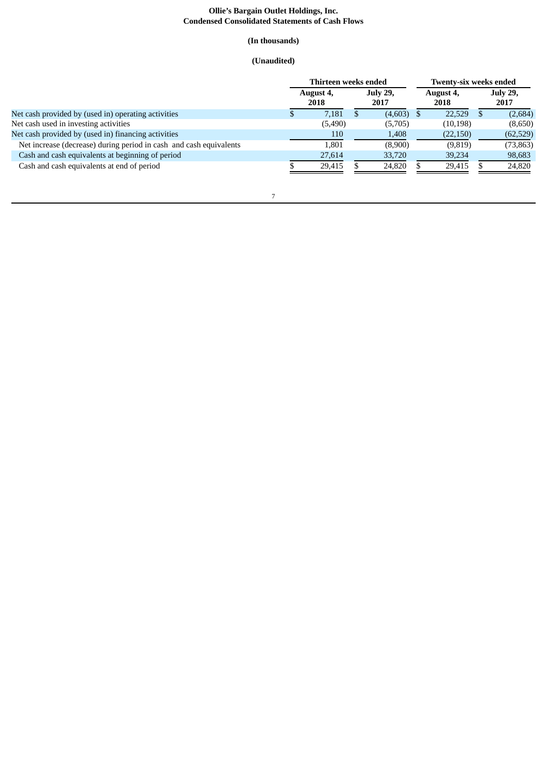#### **Ollie's Bargain Outlet Holdings, Inc. Condensed Consolidated Statements of Cash Flows**

## **(In thousands)**

## **(Unaudited)**

|                                                                    | Thirteen weeks ended |                   |  |                         |  | <b>Twenty-six weeks ended</b> |  |                         |  |  |
|--------------------------------------------------------------------|----------------------|-------------------|--|-------------------------|--|-------------------------------|--|-------------------------|--|--|
|                                                                    |                      | August 4,<br>2018 |  | <b>July 29,</b><br>2017 |  | August 4,<br>2018             |  | <b>July 29,</b><br>2017 |  |  |
| Net cash provided by (used in) operating activities                |                      | 7.181             |  | $(4,603)$ \$            |  | 22,529                        |  | (2,684)                 |  |  |
| Net cash used in investing activities                              |                      | (5,490)           |  | (5,705)                 |  | (10, 198)                     |  | (8,650)                 |  |  |
| Net cash provided by (used in) financing activities                |                      | 110               |  | 1,408                   |  | (22, 150)                     |  | (62, 529)               |  |  |
| Net increase (decrease) during period in cash and cash equivalents |                      | 1.801             |  | (8,900)                 |  | (9,819)                       |  | (73, 863)               |  |  |
| Cash and cash equivalents at beginning of period                   |                      | 27,614            |  | 33,720                  |  | 39,234                        |  | 98,683                  |  |  |
| Cash and cash equivalents at end of period                         |                      | 29.415            |  | 24,820                  |  | 29.415                        |  | 24,820                  |  |  |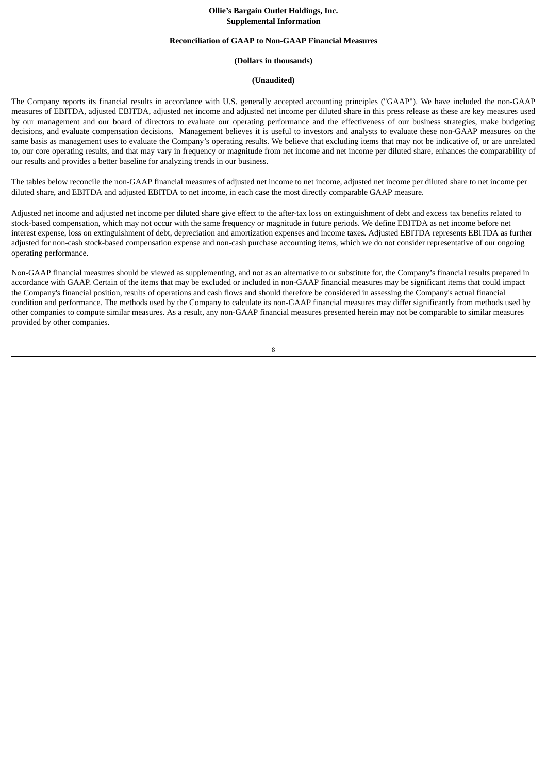#### **Ollie's Bargain Outlet Holdings, Inc. Supplemental Information**

#### **Reconciliation of GAAP to Non-GAAP Financial Measures**

#### **(Dollars in thousands)**

#### **(Unaudited)**

The Company reports its financial results in accordance with U.S. generally accepted accounting principles ("GAAP"). We have included the non-GAAP measures of EBITDA, adjusted EBITDA, adjusted net income and adjusted net income per diluted share in this press release as these are key measures used by our management and our board of directors to evaluate our operating performance and the effectiveness of our business strategies, make budgeting decisions, and evaluate compensation decisions. Management believes it is useful to investors and analysts to evaluate these non-GAAP measures on the same basis as management uses to evaluate the Company's operating results. We believe that excluding items that may not be indicative of, or are unrelated to, our core operating results, and that may vary in frequency or magnitude from net income and net income per diluted share, enhances the comparability of our results and provides a better baseline for analyzing trends in our business.

The tables below reconcile the non-GAAP financial measures of adjusted net income to net income, adjusted net income per diluted share to net income per diluted share, and EBITDA and adjusted EBITDA to net income, in each case the most directly comparable GAAP measure.

Adjusted net income and adjusted net income per diluted share give effect to the after-tax loss on extinguishment of debt and excess tax benefits related to stock-based compensation, which may not occur with the same frequency or magnitude in future periods. We define EBITDA as net income before net interest expense, loss on extinguishment of debt, depreciation and amortization expenses and income taxes. Adjusted EBITDA represents EBITDA as further adjusted for non-cash stock-based compensation expense and non-cash purchase accounting items, which we do not consider representative of our ongoing operating performance.

Non-GAAP financial measures should be viewed as supplementing, and not as an alternative to or substitute for, the Company's financial results prepared in accordance with GAAP. Certain of the items that may be excluded or included in non-GAAP financial measures may be significant items that could impact the Company's financial position, results of operations and cash flows and should therefore be considered in assessing the Company's actual financial condition and performance. The methods used by the Company to calculate its non-GAAP financial measures may differ significantly from methods used by other companies to compute similar measures. As a result, any non-GAAP financial measures presented herein may not be comparable to similar measures provided by other companies.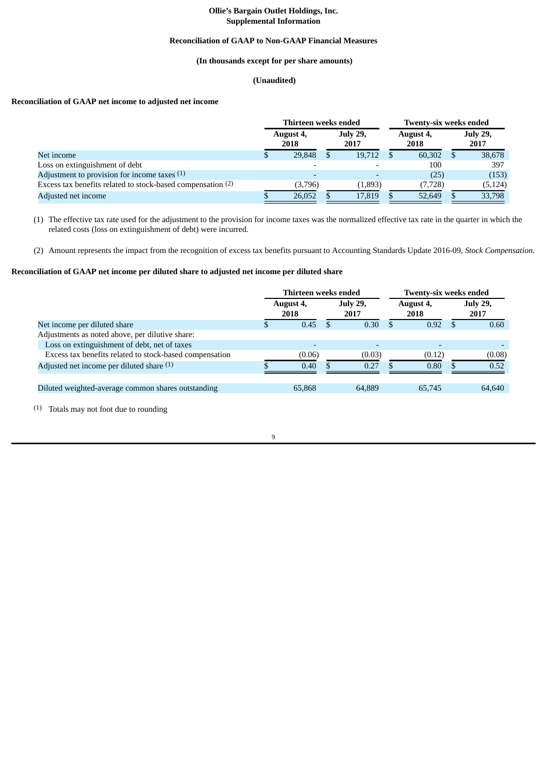## **Ollie's Bargain Outlet Holdings, Inc. Supplemental Information**

#### **Reconciliation of GAAP to Non-GAAP Financial Measures**

## **(In thousands except for per share amounts)**

## **(Unaudited)**

## **Reconciliation of GAAP net income to adjusted net income**

|                                                             | Thirteen weeks ended                         |  |         |                   |          | <b>Twenty-six weeks ended</b> |          |  |
|-------------------------------------------------------------|----------------------------------------------|--|---------|-------------------|----------|-------------------------------|----------|--|
|                                                             | <b>July 29,</b><br>August 4,<br>2017<br>2018 |  |         | August 4,<br>2018 |          | <b>July 29,</b><br>2017       |          |  |
| Net income                                                  | 29,848                                       |  | 19,712  |                   | 60,302   |                               | 38,678   |  |
| Loss on extinguishment of debt                              |                                              |  |         |                   | 100      |                               | 397      |  |
| Adjustment to provision for income taxes (1)                |                                              |  |         |                   | (25)     |                               | (153)    |  |
| Excess tax benefits related to stock-based compensation (2) | (3,796)                                      |  | (1,893) |                   | (7, 728) |                               | (5, 124) |  |
| Adjusted net income                                         | 26,052                                       |  | 17,819  |                   | 52,649   |                               | 33,798   |  |

(1) The effective tax rate used for the adjustment to the provision for income taxes was the normalized effective tax rate in the quarter in which the related costs (loss on extinguishment of debt) were incurred.

(2) Amount represents the impact from the recognition of excess tax benefits pursuant to Accounting Standards Update 2016-09, *Stock Compensation*.

## **Reconciliation of GAAP net income per diluted share to adjusted net income per diluted share**

|                                                         | Thirteen weeks ended |                   |  |                         |     | <b>Twenty-six weeks ended</b> |    |                         |  |  |
|---------------------------------------------------------|----------------------|-------------------|--|-------------------------|-----|-------------------------------|----|-------------------------|--|--|
|                                                         |                      | August 4,<br>2018 |  | <b>July 29,</b><br>2017 |     | August 4,<br>2018             |    | <b>July 29,</b><br>2017 |  |  |
| Net income per diluted share                            | \$                   | 0.45              |  | 0.30                    | \$. | 0.92                          | -S | 0.60                    |  |  |
| Adjustments as noted above, per dilutive share:         |                      |                   |  |                         |     |                               |    |                         |  |  |
| Loss on extinguishment of debt, net of taxes            |                      |                   |  |                         |     |                               |    |                         |  |  |
| Excess tax benefits related to stock-based compensation |                      | (0.06)            |  | (0.03)                  |     | (0.12)                        |    | (0.08)                  |  |  |
| Adjusted net income per diluted share (1)               |                      | 0.40              |  | 0.27                    |     | 0.80                          |    | 0.52                    |  |  |
| Diluted weighted-average common shares outstanding      |                      | 65,868            |  | 64,889                  |     | 65,745                        |    | 64,640                  |  |  |

(1) Totals may not foot due to rounding